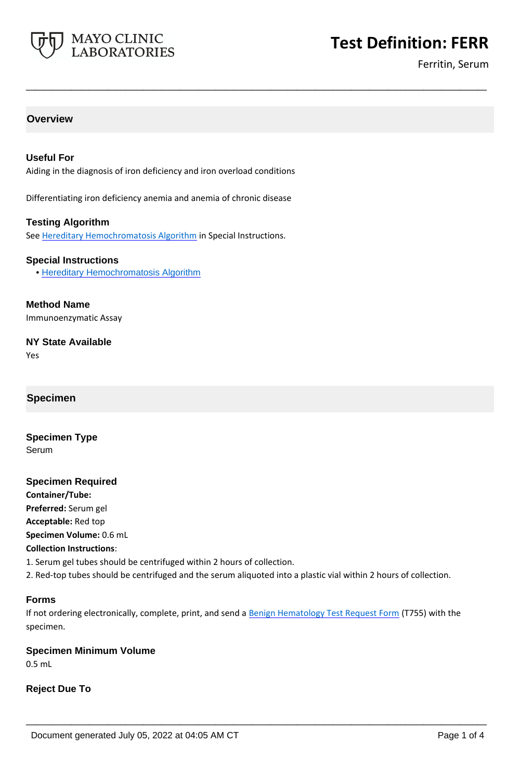

# **Test Definition: FERR**

Ferritin, Serum

# **Overview**

# **Useful For**

Aiding in the diagnosis of iron deficiency and iron overload conditions

**\_\_\_\_\_\_\_\_\_\_\_\_\_\_\_\_\_\_\_\_\_\_\_\_\_\_\_\_\_\_\_\_\_\_\_\_\_\_\_\_\_\_\_\_\_\_\_\_\_\_\_**

Differentiating iron deficiency anemia and anemia of chronic disease

#### **Testing Algorithm**

See [Hereditary Hemochromatosis Algorithm](https://www.mayocliniclabs.com/it-mmfiles/Hereditary_Hemochromatosis_Algorithm.pdf) in Special Instructions.

#### **Special Instructions**

• [Hereditary Hemochromatosis Algorithm](http://www.mayocliniclabs.com/it-mmfiles/Hereditary_Hemochromatosis_Algorithm.pdf)

**Method Name** Immunoenzymatic Assay

**NY State Available**

Yes

# **Specimen**

**Specimen Type** Serum

#### **Specimen Required**

**Container/Tube: Preferred:** Serum gel **Acceptable:** Red top **Specimen Volume:** 0.6 mL **Collection Instructions**:

1. Serum gel tubes should be centrifuged within 2 hours of collection.

2. Red-top tubes should be centrifuged and the serum aliquoted into a plastic vial within 2 hours of collection.

#### **Forms**

If not ordering electronically, complete, print, and send a [Benign Hematology Test Request Form](https://www.mayocliniclabs.com/it-mmfiles/benign-hematology-test-request-form.pdf) (T755) with the specimen.

**\_\_\_\_\_\_\_\_\_\_\_\_\_\_\_\_\_\_\_\_\_\_\_\_\_\_\_\_\_\_\_\_\_\_\_\_\_\_\_\_\_\_\_\_\_\_\_\_\_\_\_**

#### **Specimen Minimum Volume**

0.5 mL

**Reject Due To**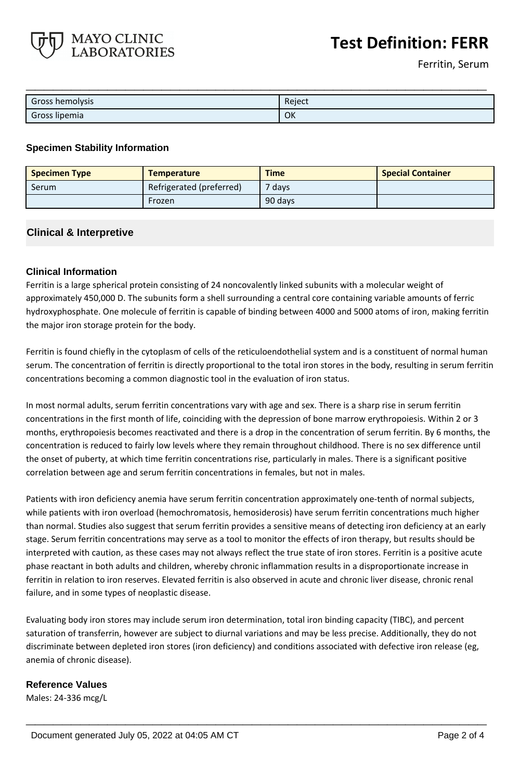

Ferritin, Serum

| Gross hemolysis | Reject |
|-----------------|--------|
| Gross lipemia   | OK     |

#### **Specimen Stability Information**

MAYO CLINIC **LABORATORIES** 

| <b>Specimen Type</b> | <b>Temperature</b>       | <b>Time</b> | <b>Special Container</b> |
|----------------------|--------------------------|-------------|--------------------------|
| Serum                | Refrigerated (preferred) | $7$ days    |                          |
|                      | Frozen                   | 90 days     |                          |

# **Clinical & Interpretive**

# **Clinical Information**

Ferritin is a large spherical protein consisting of 24 noncovalently linked subunits with a molecular weight of approximately 450,000 D. The subunits form a shell surrounding a central core containing variable amounts of ferric hydroxyphosphate. One molecule of ferritin is capable of binding between 4000 and 5000 atoms of iron, making ferritin the major iron storage protein for the body.

Ferritin is found chiefly in the cytoplasm of cells of the reticuloendothelial system and is a constituent of normal human serum. The concentration of ferritin is directly proportional to the total iron stores in the body, resulting in serum ferritin concentrations becoming a common diagnostic tool in the evaluation of iron status.

In most normal adults, serum ferritin concentrations vary with age and sex. There is a sharp rise in serum ferritin concentrations in the first month of life, coinciding with the depression of bone marrow erythropoiesis. Within 2 or 3 months, erythropoiesis becomes reactivated and there is a drop in the concentration of serum ferritin. By 6 months, the concentration is reduced to fairly low levels where they remain throughout childhood. There is no sex difference until the onset of puberty, at which time ferritin concentrations rise, particularly in males. There is a significant positive correlation between age and serum ferritin concentrations in females, but not in males.

Patients with iron deficiency anemia have serum ferritin concentration approximately one-tenth of normal subjects, while patients with iron overload (hemochromatosis, hemosiderosis) have serum ferritin concentrations much higher than normal. Studies also suggest that serum ferritin provides a sensitive means of detecting iron deficiency at an early stage. Serum ferritin concentrations may serve as a tool to monitor the effects of iron therapy, but results should be interpreted with caution, as these cases may not always reflect the true state of iron stores. Ferritin is a positive acute phase reactant in both adults and children, whereby chronic inflammation results in a disproportionate increase in ferritin in relation to iron reserves. Elevated ferritin is also observed in acute and chronic liver disease, chronic renal failure, and in some types of neoplastic disease.

Evaluating body iron stores may include serum iron determination, total iron binding capacity (TIBC), and percent saturation of transferrin, however are subject to diurnal variations and may be less precise. Additionally, they do not discriminate between depleted iron stores (iron deficiency) and conditions associated with defective iron release (eg, anemia of chronic disease).

**\_\_\_\_\_\_\_\_\_\_\_\_\_\_\_\_\_\_\_\_\_\_\_\_\_\_\_\_\_\_\_\_\_\_\_\_\_\_\_\_\_\_\_\_\_\_\_\_\_\_\_**

#### **Reference Values**

Males: 24-336 mcg/L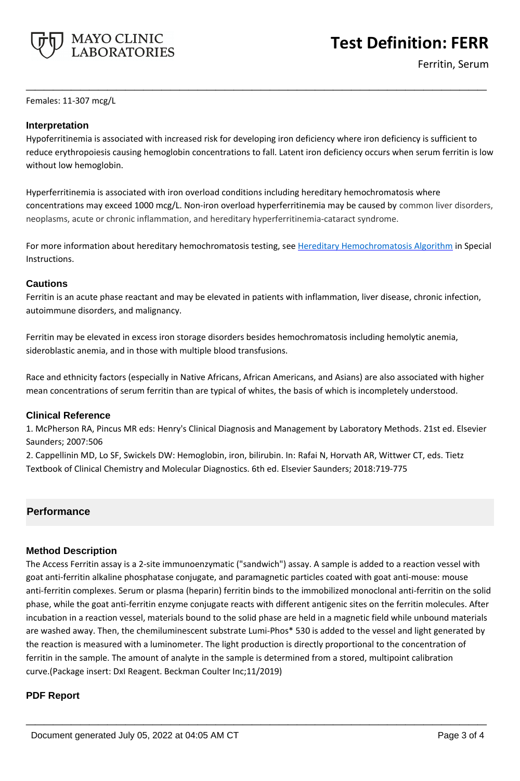

**Test Definition: FERR**

Ferritin, Serum

Females: 11-307 mcg/L

# **Interpretation**

Hypoferritinemia is associated with increased risk for developing iron deficiency where iron deficiency is sufficient to reduce erythropoiesis causing hemoglobin concentrations to fall. Latent iron deficiency occurs when serum ferritin is low without low hemoglobin.

**\_\_\_\_\_\_\_\_\_\_\_\_\_\_\_\_\_\_\_\_\_\_\_\_\_\_\_\_\_\_\_\_\_\_\_\_\_\_\_\_\_\_\_\_\_\_\_\_\_\_\_**

Hyperferritinemia is associated with iron overload conditions including hereditary hemochromatosis where concentrations may exceed 1000 mcg/L. Non-iron overload hyperferritinemia may be caused by common liver disorders, neoplasms, acute or chronic inflammation, and hereditary hyperferritinemia-cataract syndrome.

For more information about hereditary hemochromatosis testing, see [Hereditary Hemochromatosis Algorithm](https://www.mayocliniclabs.com/it-mmfiles/Hereditary_Hemochromatosis_Algorithm.pdf) in Special Instructions.

# **Cautions**

Ferritin is an acute phase reactant and may be elevated in patients with inflammation, liver disease, chronic infection, autoimmune disorders, and malignancy.

Ferritin may be elevated in excess iron storage disorders besides hemochromatosis including hemolytic anemia, sideroblastic anemia, and in those with multiple blood transfusions.

Race and ethnicity factors (especially in Native Africans, African Americans, and Asians) are also associated with higher mean concentrations of serum ferritin than are typical of whites, the basis of which is incompletely understood.

# **Clinical Reference**

1. McPherson RA, Pincus MR eds: Henry's Clinical Diagnosis and Management by Laboratory Methods. 21st ed. Elsevier Saunders; 2007:506

2. Cappellinin MD, Lo SF, Swickels DW: Hemoglobin, iron, bilirubin. In: Rafai N, Horvath AR, Wittwer CT, eds. Tietz Textbook of Clinical Chemistry and Molecular Diagnostics. 6th ed. Elsevier Saunders; 2018:719-775

# **Performance**

# **Method Description**

The Access Ferritin assay is a 2-site immunoenzymatic ("sandwich") assay. A sample is added to a reaction vessel with goat anti-ferritin alkaline phosphatase conjugate, and paramagnetic particles coated with goat anti-mouse: mouse anti-ferritin complexes. Serum or plasma (heparin) ferritin binds to the immobilized monoclonal anti-ferritin on the solid phase, while the goat anti-ferritin enzyme conjugate reacts with different antigenic sites on the ferritin molecules. After incubation in a reaction vessel, materials bound to the solid phase are held in a magnetic field while unbound materials are washed away. Then, the chemiluminescent substrate Lumi-Phos\* 530 is added to the vessel and light generated by the reaction is measured with a luminometer. The light production is directly proportional to the concentration of ferritin in the sample. The amount of analyte in the sample is determined from a stored, multipoint calibration curve.(Package insert: DxI Reagent. Beckman Coulter Inc;11/2019)

**\_\_\_\_\_\_\_\_\_\_\_\_\_\_\_\_\_\_\_\_\_\_\_\_\_\_\_\_\_\_\_\_\_\_\_\_\_\_\_\_\_\_\_\_\_\_\_\_\_\_\_**

#### **PDF Report**